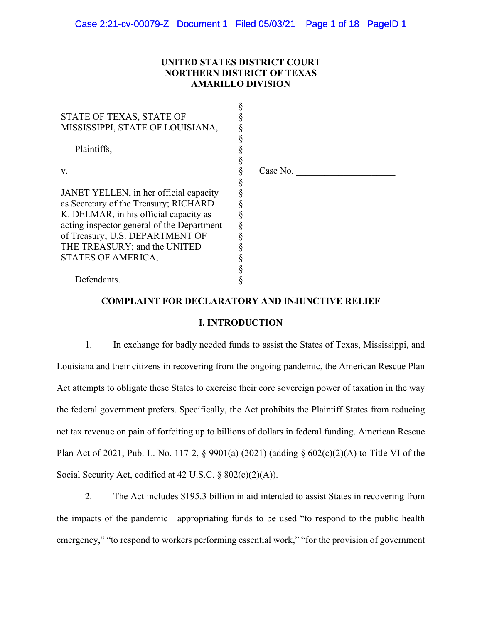# **UNITED STATES DISTRICT COURT NORTHERN DISTRICT OF TEXAS AMARILLO DIVISION**

| STATE OF TEXAS, STATE OF<br>MISSISSIPPI, STATE OF LOUISIANA, |          |
|--------------------------------------------------------------|----------|
| Plaintiffs,                                                  |          |
|                                                              |          |
| V.                                                           | Case No. |
|                                                              |          |
| JANET YELLEN, in her official capacity                       |          |
| as Secretary of the Treasury; RICHARD                        |          |
| K. DELMAR, in his official capacity as                       |          |
| acting inspector general of the Department                   |          |
| of Treasury; U.S. DEPARTMENT OF                              |          |
| THE TREASURY; and the UNITED                                 |          |
| STATES OF AMERICA,                                           |          |
|                                                              |          |
| Defendants.                                                  |          |

# **COMPLAINT FOR DECLARATORY AND INJUNCTIVE RELIEF**

## **I. INTRODUCTION**

1. In exchange for badly needed funds to assist the States of Texas, Mississippi, and Louisiana and their citizens in recovering from the ongoing pandemic, the American Rescue Plan Act attempts to obligate these States to exercise their core sovereign power of taxation in the way the federal government prefers. Specifically, the Act prohibits the Plaintiff States from reducing net tax revenue on pain of forfeiting up to billions of dollars in federal funding. American Rescue Plan Act of 2021, Pub. L. No. 117-2, § 9901(a) (2021) (adding § 602(c)(2)(A) to Title VI of the Social Security Act, codified at 42 U.S.C. § 802(c)(2)(A)).

2. The Act includes \$195.3 billion in aid intended to assist States in recovering from the impacts of the pandemic—appropriating funds to be used "to respond to the public health emergency," "to respond to workers performing essential work," "for the provision of government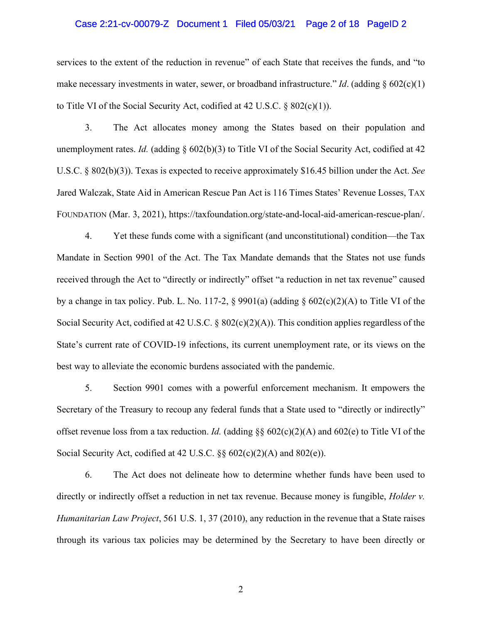## Case 2:21-cv-00079-Z Document 1 Filed 05/03/21 Page 2 of 18 PageID 2

services to the extent of the reduction in revenue" of each State that receives the funds, and "to make necessary investments in water, sewer, or broadband infrastructure." *Id*. (adding § 602(c)(1) to Title VI of the Social Security Act, codified at 42 U.S.C. § 802(c)(1)).

3. The Act allocates money among the States based on their population and unemployment rates. *Id.* (adding § 602(b)(3) to Title VI of the Social Security Act, codified at 42 U.S.C. § 802(b)(3)). Texas is expected to receive approximately \$16.45 billion under the Act. *See* Jared Walczak, State Aid in American Rescue Pan Act is 116 Times States' Revenue Losses, TAX FOUNDATION (Mar. 3, 2021), https://taxfoundation.org/state-and-local-aid-american-rescue-plan/.

4. Yet these funds come with a significant (and unconstitutional) condition—the Tax Mandate in Section 9901 of the Act. The Tax Mandate demands that the States not use funds received through the Act to "directly or indirectly" offset "a reduction in net tax revenue" caused by a change in tax policy. Pub. L. No. 117-2, § 9901(a) (adding § 602(c)(2)(A) to Title VI of the Social Security Act, codified at 42 U.S.C. § 802(c)(2)(A)). This condition applies regardless of the State's current rate of COVID-19 infections, its current unemployment rate, or its views on the best way to alleviate the economic burdens associated with the pandemic.

5. Section 9901 comes with a powerful enforcement mechanism. It empowers the Secretary of the Treasury to recoup any federal funds that a State used to "directly or indirectly" offset revenue loss from a tax reduction. *Id.* (adding §§ 602(c)(2)(A) and 602(e) to Title VI of the Social Security Act, codified at 42 U.S.C. §§ 602(c)(2)(A) and 802(e)).

6. The Act does not delineate how to determine whether funds have been used to directly or indirectly offset a reduction in net tax revenue. Because money is fungible, *Holder v. Humanitarian Law Project*, 561 U.S. 1, 37 (2010), any reduction in the revenue that a State raises through its various tax policies may be determined by the Secretary to have been directly or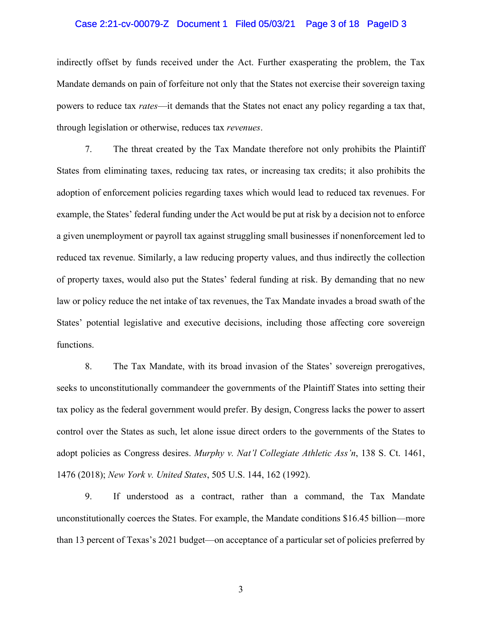#### Case 2:21-cv-00079-Z Document 1 Filed 05/03/21 Page 3 of 18 PageID 3

indirectly offset by funds received under the Act. Further exasperating the problem, the Tax Mandate demands on pain of forfeiture not only that the States not exercise their sovereign taxing powers to reduce tax *rates*—it demands that the States not enact any policy regarding a tax that, through legislation or otherwise, reduces tax *revenues*.

7. The threat created by the Tax Mandate therefore not only prohibits the Plaintiff States from eliminating taxes, reducing tax rates, or increasing tax credits; it also prohibits the adoption of enforcement policies regarding taxes which would lead to reduced tax revenues. For example, the States' federal funding under the Act would be put at risk by a decision not to enforce a given unemployment or payroll tax against struggling small businesses if nonenforcement led to reduced tax revenue. Similarly, a law reducing property values, and thus indirectly the collection of property taxes, would also put the States' federal funding at risk. By demanding that no new law or policy reduce the net intake of tax revenues, the Tax Mandate invades a broad swath of the States' potential legislative and executive decisions, including those affecting core sovereign functions.

8. The Tax Mandate, with its broad invasion of the States' sovereign prerogatives, seeks to unconstitutionally commandeer the governments of the Plaintiff States into setting their tax policy as the federal government would prefer. By design, Congress lacks the power to assert control over the States as such, let alone issue direct orders to the governments of the States to adopt policies as Congress desires. *Murphy v. Nat'l Collegiate Athletic Ass'n*, 138 S. Ct. 1461, 1476 (2018); *New York v. United States*, 505 U.S. 144, 162 (1992).

9. If understood as a contract, rather than a command, the Tax Mandate unconstitutionally coerces the States. For example, the Mandate conditions \$16.45 billion—more than 13 percent of Texas's 2021 budget—on acceptance of a particular set of policies preferred by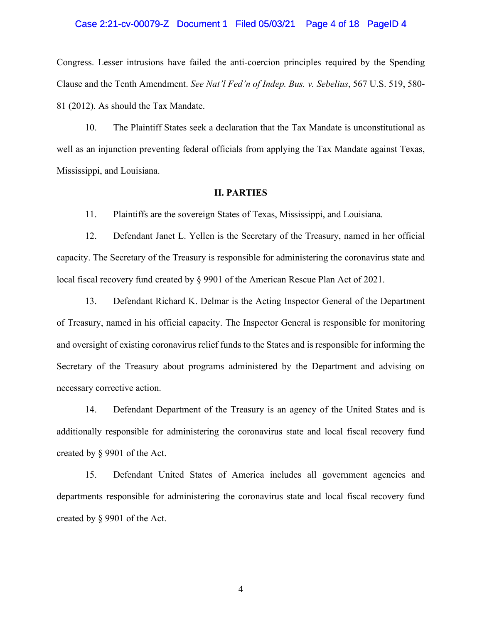#### Case 2:21-cv-00079-Z Document 1 Filed 05/03/21 Page 4 of 18 PageID 4

Congress. Lesser intrusions have failed the anti-coercion principles required by the Spending Clause and the Tenth Amendment. *See Nat'l Fed'n of Indep. Bus. v. Sebelius*, 567 U.S. 519, 580- 81 (2012). As should the Tax Mandate.

10. The Plaintiff States seek a declaration that the Tax Mandate is unconstitutional as well as an injunction preventing federal officials from applying the Tax Mandate against Texas, Mississippi, and Louisiana.

#### **II. PARTIES**

11. Plaintiffs are the sovereign States of Texas, Mississippi, and Louisiana.

12. Defendant Janet L. Yellen is the Secretary of the Treasury, named in her official capacity. The Secretary of the Treasury is responsible for administering the coronavirus state and local fiscal recovery fund created by § 9901 of the American Rescue Plan Act of 2021.

13. Defendant Richard K. Delmar is the Acting Inspector General of the Department of Treasury, named in his official capacity. The Inspector General is responsible for monitoring and oversight of existing coronavirus relief funds to the States and is responsible for informing the Secretary of the Treasury about programs administered by the Department and advising on necessary corrective action.

14. Defendant Department of the Treasury is an agency of the United States and is additionally responsible for administering the coronavirus state and local fiscal recovery fund created by § 9901 of the Act.

15. Defendant United States of America includes all government agencies and departments responsible for administering the coronavirus state and local fiscal recovery fund created by § 9901 of the Act.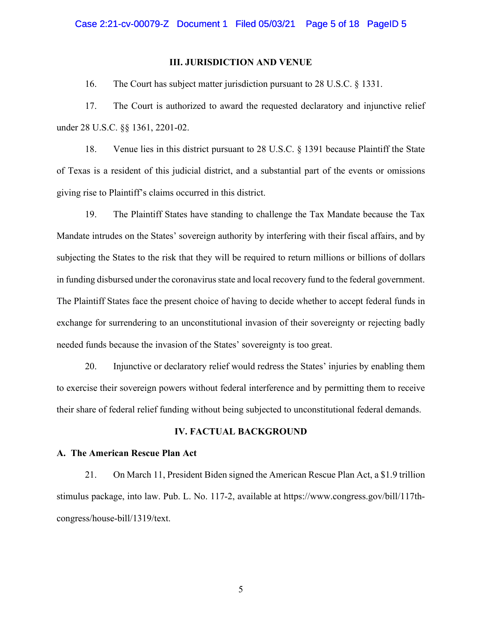#### **III. JURISDICTION AND VENUE**

16. The Court has subject matter jurisdiction pursuant to 28 U.S.C. § 1331.

17. The Court is authorized to award the requested declaratory and injunctive relief under 28 U.S.C. §§ 1361, 2201-02.

18. Venue lies in this district pursuant to 28 U.S.C. § 1391 because Plaintiff the State of Texas is a resident of this judicial district, and a substantial part of the events or omissions giving rise to Plaintiff's claims occurred in this district.

19. The Plaintiff States have standing to challenge the Tax Mandate because the Tax Mandate intrudes on the States' sovereign authority by interfering with their fiscal affairs, and by subjecting the States to the risk that they will be required to return millions or billions of dollars in funding disbursed under the coronavirus state and local recovery fund to the federal government. The Plaintiff States face the present choice of having to decide whether to accept federal funds in exchange for surrendering to an unconstitutional invasion of their sovereignty or rejecting badly needed funds because the invasion of the States' sovereignty is too great.

20. Injunctive or declaratory relief would redress the States' injuries by enabling them to exercise their sovereign powers without federal interference and by permitting them to receive their share of federal relief funding without being subjected to unconstitutional federal demands.

## **IV. FACTUAL BACKGROUND**

#### **A. The American Rescue Plan Act**

21. On March 11, President Biden signed the American Rescue Plan Act, a \$1.9 trillion stimulus package, into law. Pub. L. No. 117-2, available at https://www.congress.gov/bill/117thcongress/house-bill/1319/text.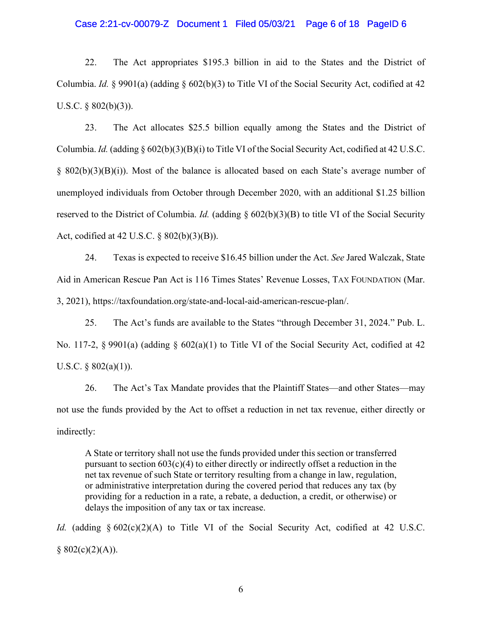#### Case 2:21-cv-00079-Z Document 1 Filed 05/03/21 Page 6 of 18 PageID 6

22. The Act appropriates \$195.3 billion in aid to the States and the District of Columbia. *Id.* § 9901(a) (adding § 602(b)(3) to Title VI of the Social Security Act, codified at 42 U.S.C. § 802(b)(3)).

23. The Act allocates \$25.5 billion equally among the States and the District of Columbia. *Id.* (adding § 602(b)(3)(B)(i) to Title VI of the Social Security Act, codified at 42 U.S.C. § 802(b)(3)(B)(i)). Most of the balance is allocated based on each State's average number of unemployed individuals from October through December 2020, with an additional \$1.25 billion reserved to the District of Columbia. *Id.* (adding § 602(b)(3)(B) to title VI of the Social Security Act, codified at 42 U.S.C. § 802(b)(3)(B)).

24. Texas is expected to receive \$16.45 billion under the Act. *See* Jared Walczak, State Aid in American Rescue Pan Act is 116 Times States' Revenue Losses, TAX FOUNDATION (Mar. 3, 2021), https://taxfoundation.org/state-and-local-aid-american-rescue-plan/.

25. The Act's funds are available to the States "through December 31, 2024." Pub. L. No. 117-2, § 9901(a) (adding § 602(a)(1) to Title VI of the Social Security Act, codified at 42 U.S.C.  $\S$  802(a)(1)).

26. The Act's Tax Mandate provides that the Plaintiff States—and other States—may not use the funds provided by the Act to offset a reduction in net tax revenue, either directly or indirectly:

A State or territory shall not use the funds provided under this section or transferred pursuant to section  $603(c)(4)$  to either directly or indirectly offset a reduction in the net tax revenue of such State or territory resulting from a change in law, regulation, or administrative interpretation during the covered period that reduces any tax (by providing for a reduction in a rate, a rebate, a deduction, a credit, or otherwise) or delays the imposition of any tax or tax increase.

*Id.* (adding § 602(c)(2)(A) to Title VI of the Social Security Act, codified at 42 U.S.C.  $§ 802(c)(2)(A)).$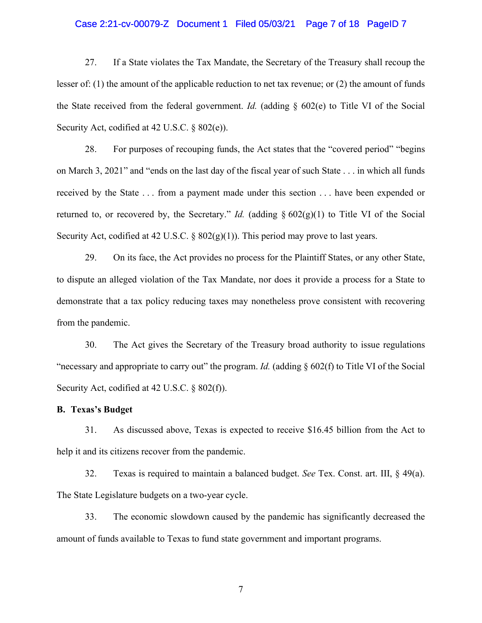#### Case 2:21-cv-00079-Z Document 1 Filed 05/03/21 Page 7 of 18 PageID 7

27. If a State violates the Tax Mandate, the Secretary of the Treasury shall recoup the lesser of: (1) the amount of the applicable reduction to net tax revenue; or (2) the amount of funds the State received from the federal government. *Id.* (adding § 602(e) to Title VI of the Social Security Act, codified at 42 U.S.C. § 802(e)).

28. For purposes of recouping funds, the Act states that the "covered period" "begins on March 3, 2021" and "ends on the last day of the fiscal year of such State . . . in which all funds received by the State . . . from a payment made under this section . . . have been expended or returned to, or recovered by, the Secretary." *Id.* (adding  $\S 602(g)(1)$  to Title VI of the Social Security Act, codified at 42 U.S.C.  $\S$  802(g)(1)). This period may prove to last years.

29. On its face, the Act provides no process for the Plaintiff States, or any other State, to dispute an alleged violation of the Tax Mandate, nor does it provide a process for a State to demonstrate that a tax policy reducing taxes may nonetheless prove consistent with recovering from the pandemic.

30. The Act gives the Secretary of the Treasury broad authority to issue regulations "necessary and appropriate to carry out" the program. *Id.* (adding § 602(f) to Title VI of the Social Security Act, codified at 42 U.S.C. § 802(f)).

## **B. Texas's Budget**

31. As discussed above, Texas is expected to receive \$16.45 billion from the Act to help it and its citizens recover from the pandemic.

32. Texas is required to maintain a balanced budget. *See* Tex. Const. art. III, § 49(a). The State Legislature budgets on a two-year cycle.

33. The economic slowdown caused by the pandemic has significantly decreased the amount of funds available to Texas to fund state government and important programs.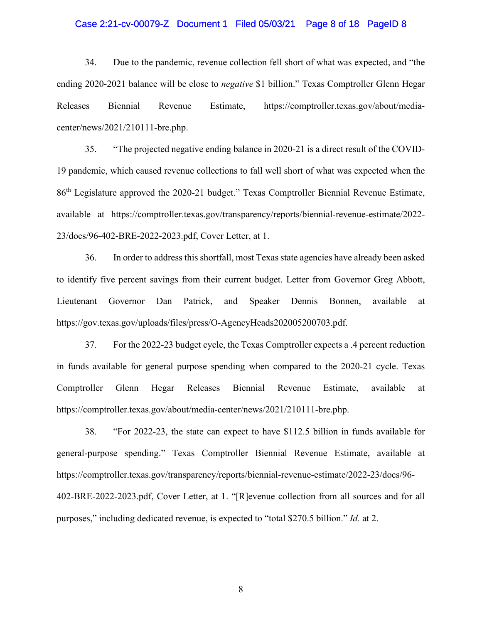#### Case 2:21-cv-00079-Z Document 1 Filed 05/03/21 Page 8 of 18 PageID 8

34. Due to the pandemic, revenue collection fell short of what was expected, and "the ending 2020-2021 balance will be close to *negative* \$1 billion." Texas Comptroller Glenn Hegar Releases Biennial Revenue Estimate, https://comptroller.texas.gov/about/mediacenter/news/2021/210111-bre.php.

35. "The projected negative ending balance in 2020-21 is a direct result of the COVID-19 pandemic, which caused revenue collections to fall well short of what was expected when the 86th Legislature approved the 2020-21 budget." Texas Comptroller Biennial Revenue Estimate, available at https://comptroller.texas.gov/transparency/reports/biennial-revenue-estimate/2022- 23/docs/96-402-BRE-2022-2023.pdf, Cover Letter, at 1.

36. In order to address this shortfall, most Texas state agencies have already been asked to identify five percent savings from their current budget. Letter from Governor Greg Abbott, Lieutenant Governor Dan Patrick, and Speaker Dennis Bonnen, available at https://gov.texas.gov/uploads/files/press/O-AgencyHeads202005200703.pdf.

37. For the 2022-23 budget cycle, the Texas Comptroller expects a .4 percent reduction in funds available for general purpose spending when compared to the 2020-21 cycle. Texas Comptroller Glenn Hegar Releases Biennial Revenue Estimate, available at https://comptroller.texas.gov/about/media-center/news/2021/210111-bre.php.

38. "For 2022-23, the state can expect to have \$112.5 billion in funds available for general-purpose spending." Texas Comptroller Biennial Revenue Estimate, available at https://comptroller.texas.gov/transparency/reports/biennial-revenue-estimate/2022-23/docs/96- 402-BRE-2022-2023.pdf, Cover Letter, at 1. "[R]evenue collection from all sources and for all purposes," including dedicated revenue, is expected to "total \$270.5 billion." *Id.* at 2.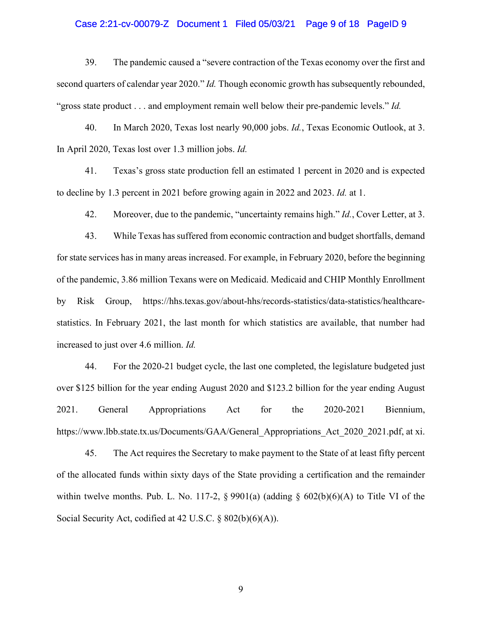## Case 2:21-cv-00079-Z Document 1 Filed 05/03/21 Page 9 of 18 PageID 9

39. The pandemic caused a "severe contraction of the Texas economy over the first and second quarters of calendar year 2020." *Id.* Though economic growth has subsequently rebounded, "gross state product . . . and employment remain well below their pre-pandemic levels." *Id.*

40. In March 2020, Texas lost nearly 90,000 jobs. *Id.*, Texas Economic Outlook, at 3. In April 2020, Texas lost over 1.3 million jobs. *Id.*

41. Texas's gross state production fell an estimated 1 percent in 2020 and is expected to decline by 1.3 percent in 2021 before growing again in 2022 and 2023. *Id.* at 1.

42. Moreover, due to the pandemic, "uncertainty remains high." *Id.*, Cover Letter, at 3.

43. While Texas has suffered from economic contraction and budget shortfalls, demand for state services has in many areas increased. For example, in February 2020, before the beginning of the pandemic, 3.86 million Texans were on Medicaid. Medicaid and CHIP Monthly Enrollment by Risk Group, https://hhs.texas.gov/about-hhs/records-statistics/data-statistics/healthcarestatistics. In February 2021, the last month for which statistics are available, that number had increased to just over 4.6 million. *Id.*

44. For the 2020-21 budget cycle, the last one completed, the legislature budgeted just over \$125 billion for the year ending August 2020 and \$123.2 billion for the year ending August 2021. General Appropriations Act for the 2020-2021 Biennium, https://www.lbb.state.tx.us/Documents/GAA/General Appropriations Act 2020 2021.pdf, at xi.

45. The Act requires the Secretary to make payment to the State of at least fifty percent of the allocated funds within sixty days of the State providing a certification and the remainder within twelve months. Pub. L. No. 117-2,  $\S$  9901(a) (adding  $\S$  602(b)(6)(A) to Title VI of the Social Security Act, codified at 42 U.S.C. § 802(b)(6)(A)).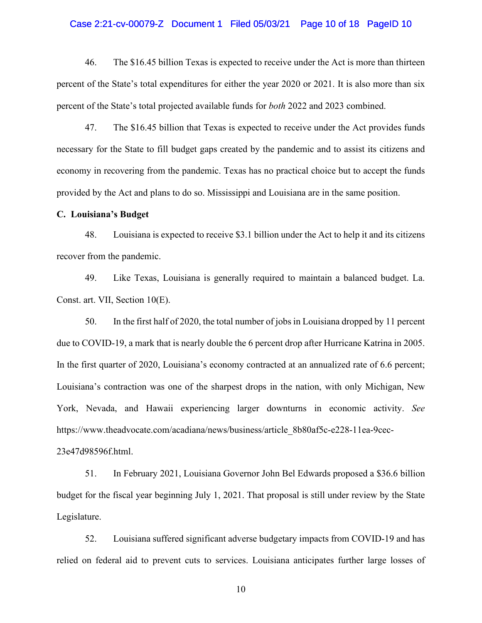#### Case 2:21-cv-00079-Z Document 1 Filed 05/03/21 Page 10 of 18 PageID 10

46. The \$16.45 billion Texas is expected to receive under the Act is more than thirteen percent of the State's total expenditures for either the year 2020 or 2021. It is also more than six percent of the State's total projected available funds for *both* 2022 and 2023 combined.

47. The \$16.45 billion that Texas is expected to receive under the Act provides funds necessary for the State to fill budget gaps created by the pandemic and to assist its citizens and economy in recovering from the pandemic. Texas has no practical choice but to accept the funds provided by the Act and plans to do so. Mississippi and Louisiana are in the same position.

## **C. Louisiana's Budget**

48. Louisiana is expected to receive \$3.1 billion under the Act to help it and its citizens recover from the pandemic.

49. Like Texas, Louisiana is generally required to maintain a balanced budget. La. Const. art. VII, Section 10(E).

50. In the first half of 2020, the total number of jobs in Louisiana dropped by 11 percent due to COVID-19, a mark that is nearly double the 6 percent drop after Hurricane Katrina in 2005. In the first quarter of 2020, Louisiana's economy contracted at an annualized rate of 6.6 percent; Louisiana's contraction was one of the sharpest drops in the nation, with only Michigan, New York, Nevada, and Hawaii experiencing larger downturns in economic activity. *See* https://www.theadvocate.com/acadiana/news/business/article\_8b80af5c-e228-11ea-9cec-23e47d98596f.html.

51. In February 2021, Louisiana Governor John Bel Edwards proposed a \$36.6 billion budget for the fiscal year beginning July 1, 2021. That proposal is still under review by the State Legislature.

52. Louisiana suffered significant adverse budgetary impacts from COVID-19 and has relied on federal aid to prevent cuts to services. Louisiana anticipates further large losses of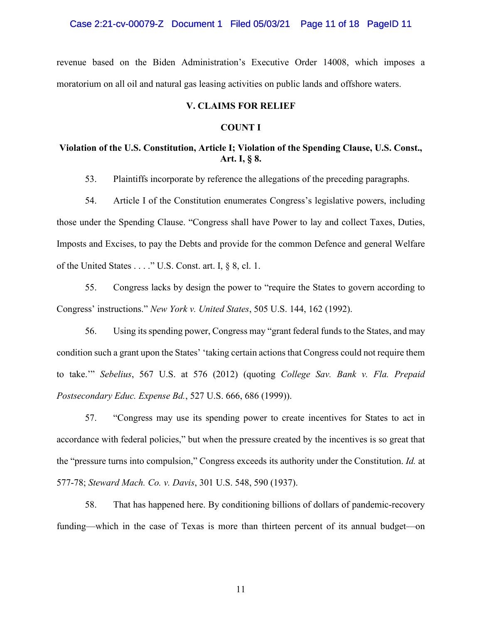#### Case 2:21-cv-00079-Z Document 1 Filed 05/03/21 Page 11 of 18 PageID 11

revenue based on the Biden Administration's Executive Order 14008, which imposes a moratorium on all oil and natural gas leasing activities on public lands and offshore waters.

## **V. CLAIMS FOR RELIEF**

#### **COUNT I**

# **Violation of the U.S. Constitution, Article I; Violation of the Spending Clause, U.S. Const., Art. I, § 8.**

53. Plaintiffs incorporate by reference the allegations of the preceding paragraphs.

54. Article I of the Constitution enumerates Congress's legislative powers, including those under the Spending Clause. "Congress shall have Power to lay and collect Taxes, Duties, Imposts and Excises, to pay the Debts and provide for the common Defence and general Welfare of the United States . . . ." U.S. Const. art. I, § 8, cl. 1.

55. Congress lacks by design the power to "require the States to govern according to Congress' instructions." *New York v. United States*, 505 U.S. 144, 162 (1992).

56. Using its spending power, Congress may "grant federal funds to the States, and may condition such a grant upon the States' 'taking certain actions that Congress could not require them to take.'" *Sebelius*, 567 U.S. at 576 (2012) (quoting *College Sav. Bank v. Fla. Prepaid Postsecondary Educ. Expense Bd.*, 527 U.S. 666, 686 (1999)).

57. "Congress may use its spending power to create incentives for States to act in accordance with federal policies," but when the pressure created by the incentives is so great that the "pressure turns into compulsion," Congress exceeds its authority under the Constitution. *Id.* at 577-78; *Steward Mach. Co. v. Davis*, 301 U.S. 548, 590 (1937).

58. That has happened here. By conditioning billions of dollars of pandemic-recovery funding—which in the case of Texas is more than thirteen percent of its annual budget—on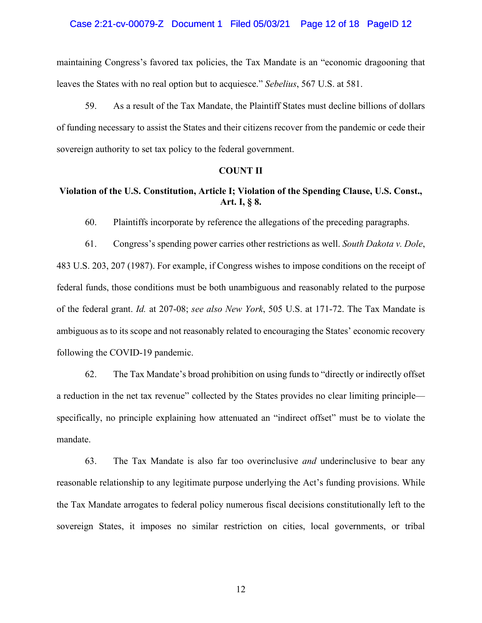#### Case 2:21-cv-00079-Z Document 1 Filed 05/03/21 Page 12 of 18 PageID 12

maintaining Congress's favored tax policies, the Tax Mandate is an "economic dragooning that leaves the States with no real option but to acquiesce." *Sebelius*, 567 U.S. at 581.

59. As a result of the Tax Mandate, the Plaintiff States must decline billions of dollars of funding necessary to assist the States and their citizens recover from the pandemic or cede their sovereign authority to set tax policy to the federal government.

#### **COUNT II**

# **Violation of the U.S. Constitution, Article I; Violation of the Spending Clause, U.S. Const., Art. I, § 8.**

60. Plaintiffs incorporate by reference the allegations of the preceding paragraphs.

61. Congress's spending power carries other restrictions as well. *South Dakota v. Dole*, 483 U.S. 203, 207 (1987). For example, if Congress wishes to impose conditions on the receipt of federal funds, those conditions must be both unambiguous and reasonably related to the purpose of the federal grant. *Id.* at 207-08; *see also New York*, 505 U.S. at 171-72. The Tax Mandate is ambiguous as to its scope and not reasonably related to encouraging the States' economic recovery following the COVID-19 pandemic.

62. The Tax Mandate's broad prohibition on using funds to "directly or indirectly offset a reduction in the net tax revenue" collected by the States provides no clear limiting principle specifically, no principle explaining how attenuated an "indirect offset" must be to violate the mandate.

63. The Tax Mandate is also far too overinclusive *and* underinclusive to bear any reasonable relationship to any legitimate purpose underlying the Act's funding provisions. While the Tax Mandate arrogates to federal policy numerous fiscal decisions constitutionally left to the sovereign States, it imposes no similar restriction on cities, local governments, or tribal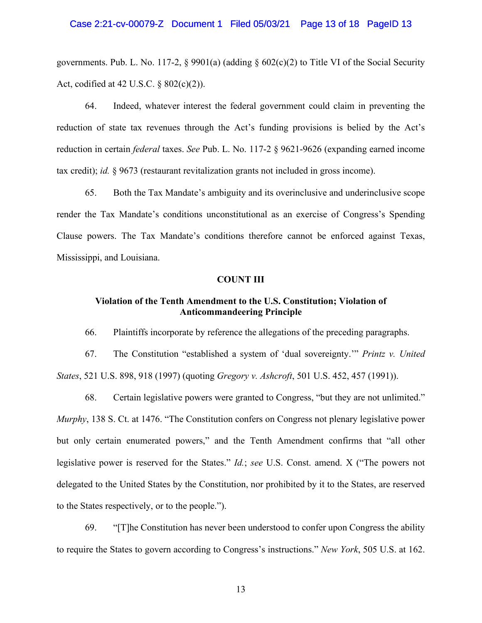governments. Pub. L. No. 117-2,  $\S$  9901(a) (adding  $\S$  602(c)(2) to Title VI of the Social Security Act, codified at 42 U.S.C. § 802(c)(2)).

64. Indeed, whatever interest the federal government could claim in preventing the reduction of state tax revenues through the Act's funding provisions is belied by the Act's reduction in certain *federal* taxes. *See* Pub. L. No. 117-2 § 9621-9626 (expanding earned income tax credit); *id.* § 9673 (restaurant revitalization grants not included in gross income).

65. Both the Tax Mandate's ambiguity and its overinclusive and underinclusive scope render the Tax Mandate's conditions unconstitutional as an exercise of Congress's Spending Clause powers. The Tax Mandate's conditions therefore cannot be enforced against Texas, Mississippi, and Louisiana.

#### **COUNT III**

# **Violation of the Tenth Amendment to the U.S. Constitution; Violation of Anticommandeering Principle**

66. Plaintiffs incorporate by reference the allegations of the preceding paragraphs.

67. The Constitution "established a system of 'dual sovereignty.'" *Printz v. United States*, 521 U.S. 898, 918 (1997) (quoting *Gregory v. Ashcroft*, 501 U.S. 452, 457 (1991)).

68. Certain legislative powers were granted to Congress, "but they are not unlimited." *Murphy*, 138 S. Ct. at 1476. "The Constitution confers on Congress not plenary legislative power but only certain enumerated powers," and the Tenth Amendment confirms that "all other legislative power is reserved for the States." *Id.*; *see* U.S. Const. amend. X ("The powers not delegated to the United States by the Constitution, nor prohibited by it to the States, are reserved to the States respectively, or to the people.").

69. "[T]he Constitution has never been understood to confer upon Congress the ability to require the States to govern according to Congress's instructions." *New York*, 505 U.S. at 162.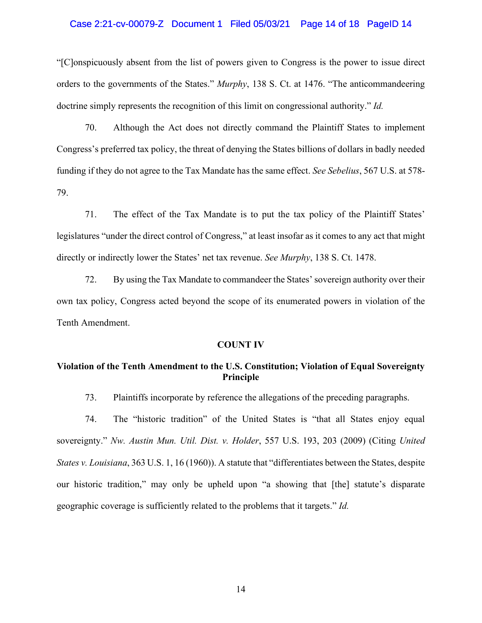#### Case 2:21-cv-00079-Z Document 1 Filed 05/03/21 Page 14 of 18 PageID 14

"[C]onspicuously absent from the list of powers given to Congress is the power to issue direct orders to the governments of the States." *Murphy*, 138 S. Ct. at 1476. "The anticommandeering doctrine simply represents the recognition of this limit on congressional authority." *Id.*

70. Although the Act does not directly command the Plaintiff States to implement Congress's preferred tax policy, the threat of denying the States billions of dollars in badly needed funding if they do not agree to the Tax Mandate has the same effect. *See Sebelius*, 567 U.S. at 578- 79.

71. The effect of the Tax Mandate is to put the tax policy of the Plaintiff States' legislatures "under the direct control of Congress," at least insofar as it comes to any act that might directly or indirectly lower the States' net tax revenue. *See Murphy*, 138 S. Ct. 1478.

72. By using the Tax Mandate to commandeer the States' sovereign authority over their own tax policy, Congress acted beyond the scope of its enumerated powers in violation of the Tenth Amendment.

#### **COUNT IV**

# **Violation of the Tenth Amendment to the U.S. Constitution; Violation of Equal Sovereignty Principle**

73. Plaintiffs incorporate by reference the allegations of the preceding paragraphs.

74. The "historic tradition" of the United States is "that all States enjoy equal sovereignty." *Nw. Austin Mun. Util. Dist. v. Holder*, 557 U.S. 193, 203 (2009) (Citing *United States v. Louisiana*, 363 U.S. 1, 16 (1960)). A statute that "differentiates between the States, despite our historic tradition," may only be upheld upon "a showing that [the] statute's disparate geographic coverage is sufficiently related to the problems that it targets." *Id.*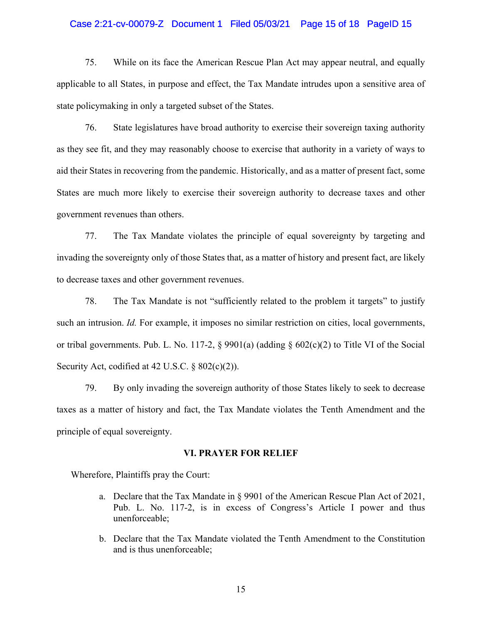#### Case 2:21-cv-00079-Z Document 1 Filed 05/03/21 Page 15 of 18 PageID 15

75. While on its face the American Rescue Plan Act may appear neutral, and equally applicable to all States, in purpose and effect, the Tax Mandate intrudes upon a sensitive area of state policymaking in only a targeted subset of the States.

76. State legislatures have broad authority to exercise their sovereign taxing authority as they see fit, and they may reasonably choose to exercise that authority in a variety of ways to aid their States in recovering from the pandemic. Historically, and as a matter of present fact, some States are much more likely to exercise their sovereign authority to decrease taxes and other government revenues than others.

77. The Tax Mandate violates the principle of equal sovereignty by targeting and invading the sovereignty only of those States that, as a matter of history and present fact, are likely to decrease taxes and other government revenues.

78. The Tax Mandate is not "sufficiently related to the problem it targets" to justify such an intrusion. *Id.* For example, it imposes no similar restriction on cities, local governments, or tribal governments. Pub. L. No. 117-2, § 9901(a) (adding § 602(c)(2) to Title VI of the Social Security Act, codified at 42 U.S.C. § 802(c)(2)).

79. By only invading the sovereign authority of those States likely to seek to decrease taxes as a matter of history and fact, the Tax Mandate violates the Tenth Amendment and the principle of equal sovereignty.

#### **VI. PRAYER FOR RELIEF**

Wherefore, Plaintiffs pray the Court:

- a. Declare that the Tax Mandate in § 9901 of the American Rescue Plan Act of 2021, Pub. L. No. 117-2, is in excess of Congress's Article I power and thus unenforceable;
- b. Declare that the Tax Mandate violated the Tenth Amendment to the Constitution and is thus unenforceable;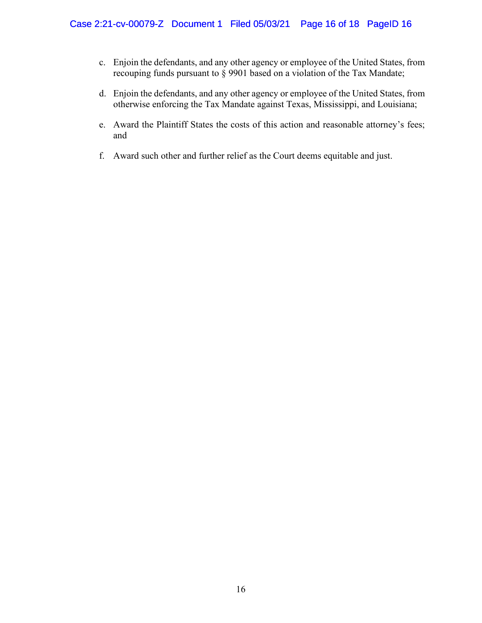- c. Enjoin the defendants, and any other agency or employee of the United States, from recouping funds pursuant to § 9901 based on a violation of the Tax Mandate;
- d. Enjoin the defendants, and any other agency or employee of the United States, from otherwise enforcing the Tax Mandate against Texas, Mississippi, and Louisiana;
- e. Award the Plaintiff States the costs of this action and reasonable attorney's fees; and
- f. Award such other and further relief as the Court deems equitable and just.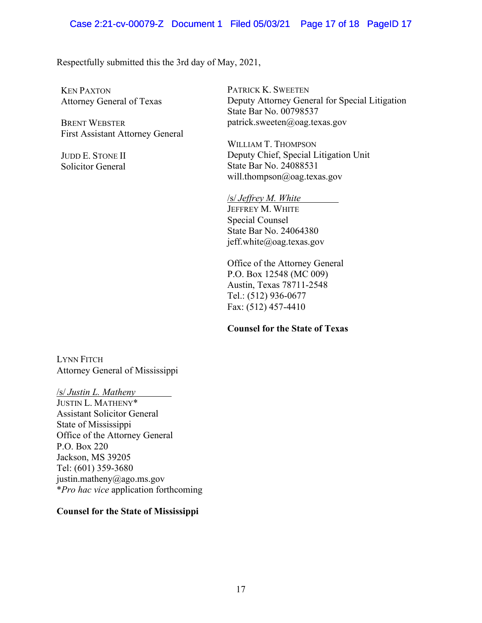Respectfully submitted this the 3rd day of May, 2021,

KEN PAXTON Attorney General of Texas

BRENT WEBSTER First Assistant Attorney General

JUDD E. STONE II Solicitor General

PATRICK K. SWEETEN Deputy Attorney General for Special Litigation State Bar No. 00798537 patrick.sweeten@oag.texas.gov

WILLIAM T. THOMPSON Deputy Chief, Special Litigation Unit State Bar No. 24088531 will.thompson@oag.texas.gov

/s/ *Jeffrey M. White* JEFFREY M. WHITE Special Counsel State Bar No. 24064380 jeff.white@oag.texas.gov

Office of the Attorney General P.O. Box 12548 (MC 009) Austin, Texas 78711-2548 Tel.: (512) 936-0677 Fax: (512) 457-4410

# **Counsel for the State of Texas**

LYNN FITCH Attorney General of Mississippi

/s/ *Justin L. Matheny* JUSTIN L. MATHENY\* Assistant Solicitor General State of Mississippi Office of the Attorney General P.O. Box 220 Jackson, MS 39205 Tel: (601) 359-3680 justin.matheny@ago.ms.gov \**Pro hac vice* application forthcoming

# **Counsel for the State of Mississippi**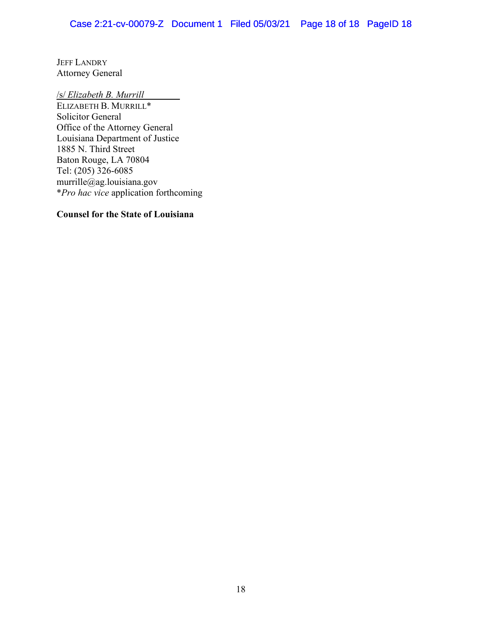JEFF LANDRY Attorney General

/s/ *Elizabeth B. Murrill*

ELIZABETH B. MURRILL\* Solicitor General Office of the Attorney General Louisiana Department of Justice 1885 N. Third Street Baton Rouge, LA 70804 Tel: (205) 326-6085 murrille@ag.louisiana.gov \**Pro hac vice* application forthcoming

# **Counsel for the State of Louisiana**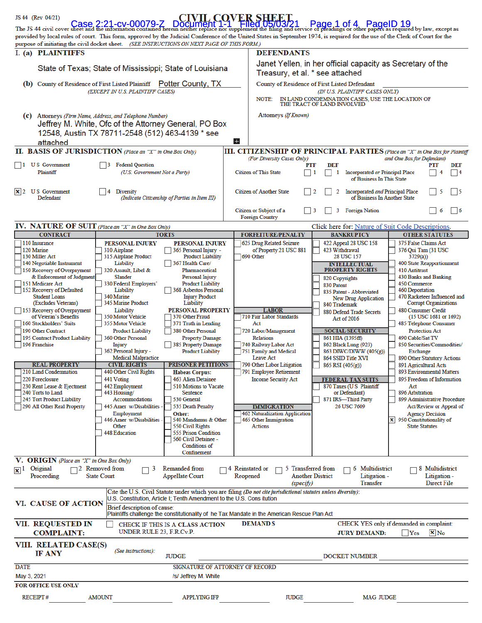| JS 44 (Rev 04/21)                                                                                                                                                                                                                                                                                                                                         |                                                          |                                                                      |                                                                                                                                                 | <b>IVIL COVER SHEET</b>                                                                                                  |                                                                                      |                                                                     |                                                      |                                                         |                       |
|-----------------------------------------------------------------------------------------------------------------------------------------------------------------------------------------------------------------------------------------------------------------------------------------------------------------------------------------------------------|----------------------------------------------------------|----------------------------------------------------------------------|-------------------------------------------------------------------------------------------------------------------------------------------------|--------------------------------------------------------------------------------------------------------------------------|--------------------------------------------------------------------------------------|---------------------------------------------------------------------|------------------------------------------------------|---------------------------------------------------------|-----------------------|
| Case, 2:21-cv-00079-7 Document 1-1' Filed 05/03/21 Page 1 of 4 PageID 19<br>provided by local rules of court. This form, approved by the Judicial Conference of the United States in September 1974, is required for the use of the Clerk of Court for the<br>purpose of initiating the civil docket sheet. (SEE INSTRUCTIONS ON NEXT PAGE OF THIS FORM.) |                                                          |                                                                      |                                                                                                                                                 |                                                                                                                          |                                                                                      |                                                                     |                                                      |                                                         |                       |
| I. (a) PLAINTIFFS                                                                                                                                                                                                                                                                                                                                         |                                                          |                                                                      |                                                                                                                                                 | <b>DEFENDANTS</b>                                                                                                        |                                                                                      |                                                                     |                                                      |                                                         |                       |
| State of Texas; State of Mississippi; State of Louisiana                                                                                                                                                                                                                                                                                                  |                                                          |                                                                      | Janet Yellen, in her official capacity as Secretary of the<br>Treasury, et al. * see attached                                                   |                                                                                                                          |                                                                                      |                                                                     |                                                      |                                                         |                       |
| (b) County of Residence of First Listed Plaintiff Potter County, TX                                                                                                                                                                                                                                                                                       |                                                          |                                                                      |                                                                                                                                                 | County of Residence of First Listed Defendant                                                                            |                                                                                      |                                                                     |                                                      |                                                         |                       |
| (EXCEPT IN U.S. PLAINTIFF CASES)                                                                                                                                                                                                                                                                                                                          |                                                          |                                                                      |                                                                                                                                                 | (IN U.S. PLAINTIFF CASES ONLY)<br>IN LAND CONDEMNATION CASES, USE THE LOCATION OF<br>NOTE:<br>THE TRACT OF LAND INVOLVED |                                                                                      |                                                                     |                                                      |                                                         |                       |
| (c) Attorneys (Firm Name, Address, and Telephone Number)                                                                                                                                                                                                                                                                                                  |                                                          |                                                                      |                                                                                                                                                 | Attorneys (If Known)                                                                                                     |                                                                                      |                                                                     |                                                      |                                                         |                       |
| Jeffrey M. White, Ofc of the Attorney General, PO Box<br>12548, Austin TX 78711-2548 (512) 463-4139 * see                                                                                                                                                                                                                                                 |                                                          |                                                                      |                                                                                                                                                 |                                                                                                                          |                                                                                      |                                                                     |                                                      |                                                         |                       |
| attached                                                                                                                                                                                                                                                                                                                                                  |                                                          |                                                                      | $+$                                                                                                                                             |                                                                                                                          |                                                                                      |                                                                     |                                                      |                                                         |                       |
| II. BASIS OF JURISDICTION (Place an "X" in One Box Only)                                                                                                                                                                                                                                                                                                  |                                                          |                                                                      | <b>III. CITIZENSHIP OF PRINCIPAL PARTIES</b> (Place an "X" in One Box for Plaintiff<br>(For Diversity Cases Only)<br>and One Box for Defendant) |                                                                                                                          |                                                                                      |                                                                     |                                                      |                                                         |                       |
| <b>US</b> Government<br>$\vert$ 1<br>Plaintiff                                                                                                                                                                                                                                                                                                            | <b>Federal Question</b><br>(U.S. Government Not a Party) |                                                                      |                                                                                                                                                 | PTF<br><b>Citizen of This State</b><br>$\overline{1}$                                                                    | DEF<br>1                                                                             | <b>Incorporated or Principal Place</b><br>of Business In This State |                                                      | PTF<br>4                                                | DEF<br>$\overline{4}$ |
| <b>US</b> Government<br>$\mathbf{x}$  2<br>Defendant                                                                                                                                                                                                                                                                                                      | <b>Diversity</b><br>4                                    | (Indicate Citizenship of Parties in Item III)                        | <b>Citizen of Another State</b><br><b>Incorporated and Principal Place</b><br>5<br>$\frac{12}{2}$<br>2<br>of Business In Another State          |                                                                                                                          |                                                                                      | $\overline{\phantom{0}}$                                            |                                                      |                                                         |                       |
|                                                                                                                                                                                                                                                                                                                                                           |                                                          |                                                                      | Citizen or Subject of a<br>$\overline{\phantom{0}}$ 3<br>3<br><b>Foreign Nation</b><br>6<br>$\vert$ 6<br><b>Foreign Country</b>                 |                                                                                                                          |                                                                                      |                                                                     |                                                      |                                                         |                       |
| <b>IV. NATURE OF SUIT</b> (Place an "X" in One Box Only)                                                                                                                                                                                                                                                                                                  |                                                          |                                                                      |                                                                                                                                                 |                                                                                                                          |                                                                                      | Click here for: Nature of Suit Code Descriptions.                   |                                                      |                                                         |                       |
| <b>CONTRACT</b><br>110 Insurance                                                                                                                                                                                                                                                                                                                          |                                                          | <b>TORTS</b>                                                         |                                                                                                                                                 | <b>FORFEITURE/PENALTY</b>                                                                                                |                                                                                      | <b>BANKRUPTCY</b>                                                   |                                                      | <b>OTHER STATUTES</b>                                   |                       |
| 120 Marine<br>130 Miller Act                                                                                                                                                                                                                                                                                                                              | PERSONAL INJURY<br>310 Airplane<br>315 Airplane Product  | PERSONAL INJURY<br>365 Personal Injury -<br><b>Product Liability</b> |                                                                                                                                                 | 625 Drug Related Seizure<br>of Property 21 USC 881<br>690 Other                                                          | 422 Appeal 28 USC 158<br>423 Withdrawal<br>28 USC 157                                |                                                                     |                                                      | 375 False Claims Act<br>376 Qui Tam (31 USC<br>3729(a)) |                       |
| 140 Negotiable Instrument<br>150 Recovery of Overpayment                                                                                                                                                                                                                                                                                                  | Liability<br>320 Assault, Libel &                        | 367 Health Care/<br>Pharmaceutical                                   |                                                                                                                                                 |                                                                                                                          | 400 State Reapportionment<br>INTELLECTUAL<br><b>PROPERTY RIGHTS</b><br>410 Antitrust |                                                                     |                                                      |                                                         |                       |
| & Enforcement of Judgment<br>151 Medicare Act                                                                                                                                                                                                                                                                                                             | <b>Slander</b><br>330 Federal Employers'                 | Personal Injury<br><b>Product Liability</b>                          |                                                                                                                                                 |                                                                                                                          | 430 Banks and Banking<br>820 Copyrights<br>450 Commerce                              |                                                                     |                                                      |                                                         |                       |
| 152 Recovery of Defaulted                                                                                                                                                                                                                                                                                                                                 | Liability                                                | 368 Asbestos Personal                                                |                                                                                                                                                 |                                                                                                                          | 830 Patent                                                                           | 835 Patent - Abbreviated                                            | <b>460 Deportation</b>                               |                                                         |                       |
| <b>Student Loans</b><br>(Excludes Veterans)                                                                                                                                                                                                                                                                                                               | 340 Marine<br>345 Marine Product                         | <b>Injury Product</b><br>Liability                                   |                                                                                                                                                 |                                                                                                                          | 840 Trademark                                                                        | New Drug Application                                                | 470 Racketeer Influenced and                         | <b>Corrupt Organizations</b>                            |                       |
| 153 Recovery of Overpayment                                                                                                                                                                                                                                                                                                                               | Liability                                                | PERSONAL PROPERTY                                                    |                                                                                                                                                 | <b>LABOR</b>                                                                                                             |                                                                                      | 880 Defend Trade Secrets                                            | <b>480 Consumer Credit</b>                           |                                                         |                       |
| of Veteran's Benefits<br>160 Stockholders' Suits                                                                                                                                                                                                                                                                                                          | <b>350 Motor Vehicle</b><br>355 Motor Vehicle            | 370 Other Fraud<br>371 Truth in Lending                              |                                                                                                                                                 | 710 Fair Labor Standards<br>Act                                                                                          |                                                                                      | Act of 2016                                                         | 485 Telephone Consumer                               | (15 USC 1681 or 1692)                                   |                       |
| 190 Other Contract                                                                                                                                                                                                                                                                                                                                        | <b>Product Liability</b>                                 | 380 Other Personal                                                   |                                                                                                                                                 | 720 Labor/Management                                                                                                     |                                                                                      | <b>SOCIAL SECURITY</b>                                              |                                                      | <b>Protection Act</b>                                   |                       |
| 195 Contract Product Liability<br>196 Franchise                                                                                                                                                                                                                                                                                                           | 360 Other Personal<br>Injury                             | <b>Property Damage</b><br>385 Property Damage                        |                                                                                                                                                 | <b>Relations</b><br>740 Railway Labor Act                                                                                |                                                                                      | 861 HIA (1395ff)<br>862 Black Lung (923)                            | 490 Cable/Sat TV<br>850 Securities/Commodities/      |                                                         |                       |
|                                                                                                                                                                                                                                                                                                                                                           | 362 Personal Injury -                                    | <b>Product Liability</b>                                             |                                                                                                                                                 | <b>751 Family and Medical</b>                                                                                            |                                                                                      | 863 DIWC/DIWW (405(g))                                              | Exchange                                             |                                                         |                       |
| <b>REAL PROPERTY</b>                                                                                                                                                                                                                                                                                                                                      | <b>Medical Malpractice</b><br><b>CIVIL RIGHTS</b>        | <b>PRISONER PETITIONS</b>                                            |                                                                                                                                                 | Leave Act<br>790 Other Labor Litigation                                                                                  | 865 RSI (405(g))                                                                     | 864 SSID Title XVI                                                  | 890 Other Statutory Actions<br>891 Agricultural Acts |                                                         |                       |
| 210 Land Condemnation                                                                                                                                                                                                                                                                                                                                     | 440 Other Civil Rights                                   | <b>Habeas Corpus:</b>                                                |                                                                                                                                                 | 791 Employee Retirement                                                                                                  |                                                                                      |                                                                     | <b>893 Environmental Matters</b>                     |                                                         |                       |
| 220 Foreclosure                                                                                                                                                                                                                                                                                                                                           | 441 Voting                                               | <b>463 Alien Detainee</b>                                            |                                                                                                                                                 | <b>Income Security Act</b>                                                                                               |                                                                                      | <b>FEDERAL TAX SUITS</b>                                            | 895 Freedom of Information                           |                                                         |                       |
| 230 Rent Lease & Ejectment<br>240 Torts to Land                                                                                                                                                                                                                                                                                                           | 442 Employment<br>443 Housing/                           | 510 Motions to Vacate<br>Sentence                                    |                                                                                                                                                 |                                                                                                                          |                                                                                      | 870 Taxes (U S Plaintiff<br>or Defendant)                           | Act<br>896 Arbitration                               |                                                         |                       |
| 245 Tort Product Liability                                                                                                                                                                                                                                                                                                                                | Accommodations                                           | 530 General                                                          |                                                                                                                                                 |                                                                                                                          |                                                                                      | 871 IRS-Third Party                                                 | 899 Administrative Procedure                         |                                                         |                       |
| 290 All Other Real Property                                                                                                                                                                                                                                                                                                                               | 445 Amer w/Disabilities<br>Employment                    | 535 Death Penalty<br>Other:                                          |                                                                                                                                                 | <b>IMMIGRATION</b><br><b>462 Naturalization Application</b>                                                              |                                                                                      | 26 USC 7609                                                         |                                                      | Act/Review or Appeal of<br><b>Agency Decision</b>       |                       |
|                                                                                                                                                                                                                                                                                                                                                           | 446 Amer w/Disabilities                                  | 540 Mandamus & Other                                                 |                                                                                                                                                 | <b>465 Other Immigration</b>                                                                                             |                                                                                      |                                                                     | X 950 Constitutionality of                           |                                                         |                       |
|                                                                                                                                                                                                                                                                                                                                                           | Other<br><b>448 Education</b>                            | 550 Civil Rights<br>555 Prison Condition                             |                                                                                                                                                 | <b>Actions</b>                                                                                                           |                                                                                      |                                                                     | <b>State Statutes</b>                                |                                                         |                       |
|                                                                                                                                                                                                                                                                                                                                                           |                                                          | 560 Civil Detainee -                                                 |                                                                                                                                                 |                                                                                                                          |                                                                                      |                                                                     |                                                      |                                                         |                       |
|                                                                                                                                                                                                                                                                                                                                                           |                                                          | Conditions of<br>Confinement                                         |                                                                                                                                                 |                                                                                                                          |                                                                                      |                                                                     |                                                      |                                                         |                       |
| V. ORIGIN (Place an "X" in One Box Only)                                                                                                                                                                                                                                                                                                                  |                                                          |                                                                      |                                                                                                                                                 |                                                                                                                          |                                                                                      |                                                                     |                                                      |                                                         |                       |
| $\mathbf{x}$ <sup>1</sup> Original<br>Proceeding                                                                                                                                                                                                                                                                                                          | $\Box$ 2 Removed from<br>3<br><b>State Court</b>         | Remanded from<br><b>Appellate Court</b>                              |                                                                                                                                                 | $\neg$ 4 Reinstated or<br>5 Transferred from<br>Reopened                                                                 | <b>Another District</b>                                                              | 6 Multidistrict<br>Litigation -<br><b>Transfer</b>                  |                                                      | 8 Multidistrict<br>Litigation -<br>Direct File          |                       |
| (specify)<br>Cite the U.S. Civil Statute under which you are filing (Do not cite jurisdictional statutes unless diversity):<br>U.S. Constitution, Article I; Tenth Amendment to the U.S. Cons itution                                                                                                                                                     |                                                          |                                                                      |                                                                                                                                                 |                                                                                                                          |                                                                                      |                                                                     |                                                      |                                                         |                       |
| <b>VI. CAUSE OF ACTION</b><br>Brief description of cause:                                                                                                                                                                                                                                                                                                 |                                                          |                                                                      |                                                                                                                                                 |                                                                                                                          |                                                                                      |                                                                     |                                                      |                                                         |                       |
| Plaintiffs challenge the constitutionality of he Tax Mandate in the American Rescue Plan Act                                                                                                                                                                                                                                                              |                                                          |                                                                      |                                                                                                                                                 |                                                                                                                          |                                                                                      |                                                                     |                                                      |                                                         |                       |
| VII. REQUESTED IN<br><b>DEMAND \$</b><br>CHECK YES only if demanded in complaint:<br><b>CHECK IF THIS IS A CLASS ACTION</b><br>UNDER RULE 23, F.R.Cv.P.<br><b>COMPLAINT:</b><br>$x_{No}$<br><b>JURY DEMAND:</b><br>Yes                                                                                                                                    |                                                          |                                                                      |                                                                                                                                                 |                                                                                                                          |                                                                                      |                                                                     |                                                      |                                                         |                       |
| VIII. RELATED CASE(S)<br>(See instructions):<br><b>IF ANY</b><br><b>JUDGE</b><br><b>DOCKET NUMBER</b>                                                                                                                                                                                                                                                     |                                                          |                                                                      |                                                                                                                                                 |                                                                                                                          |                                                                                      |                                                                     |                                                      |                                                         |                       |
| SIGNATURE OF ATTORNEY OF RECORD<br><b>DATE</b>                                                                                                                                                                                                                                                                                                            |                                                          |                                                                      |                                                                                                                                                 |                                                                                                                          |                                                                                      |                                                                     |                                                      |                                                         |                       |
| May 3, 2021<br>/s/ Jeffrey M. White                                                                                                                                                                                                                                                                                                                       |                                                          |                                                                      |                                                                                                                                                 |                                                                                                                          |                                                                                      |                                                                     |                                                      |                                                         |                       |
| <b>FOR OFFICE USE ONLY</b>                                                                                                                                                                                                                                                                                                                                |                                                          |                                                                      |                                                                                                                                                 |                                                                                                                          |                                                                                      |                                                                     |                                                      |                                                         |                       |
| <b>RECEIPT#</b><br><b>JUDGE</b><br><b>MAG JUDGE</b><br><b>AMOUNT</b><br><b>APPLYING IFP</b>                                                                                                                                                                                                                                                               |                                                          |                                                                      |                                                                                                                                                 |                                                                                                                          |                                                                                      |                                                                     |                                                      |                                                         |                       |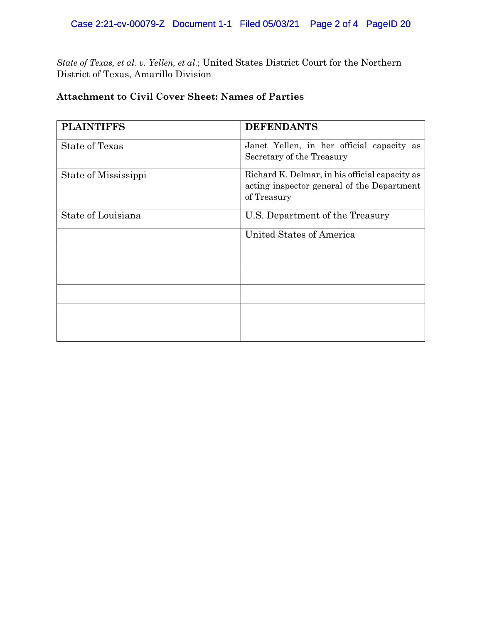# Case 2:21-cv-00079-Z Document 1-1 Filed 05/03/21 Page 2 of 4 PageID 20

*State of Texas, et al. v. Yellen, et al*.; United States District Court for the Northern District of Texas, Amarillo Division

# **Attachment to Civil Cover Sheet: Names of Parties**

| <b>PLAINTIFFS</b>    | <b>DEFENDANTS</b>                                                                                           |
|----------------------|-------------------------------------------------------------------------------------------------------------|
| State of Texas       | Janet Yellen, in her official capacity as<br>Secretary of the Treasury                                      |
| State of Mississippi | Richard K. Delmar, in his official capacity as<br>acting inspector general of the Department<br>of Treasury |
| State of Louisiana   | U.S. Department of the Treasury                                                                             |
|                      | United States of America                                                                                    |
|                      |                                                                                                             |
|                      |                                                                                                             |
|                      |                                                                                                             |
|                      |                                                                                                             |
|                      |                                                                                                             |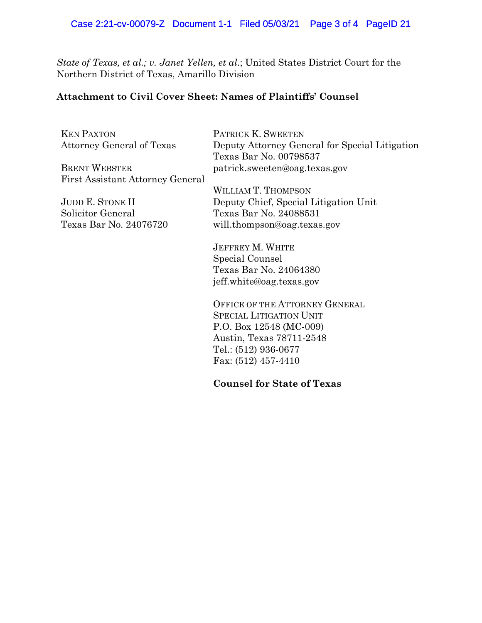# Case 2:21-cv-00079-Z Document 1-1 Filed 05/03/21 Page 3 of 4 PageID 21

*State of Texas, et al.; v. Janet Yellen, et al*.; United States District Court for the Northern District of Texas, Amarillo Division

# **Attachment to Civil Cover Sheet: Names of Plaintiffs' Counsel**

KEN PAXTON Attorney General of Texas

BRENT WEBSTER First Assistant Attorney General

JUDD E. STONE II Solicitor General Texas Bar No. 24076720 PATRICK K. SWEETEN Deputy Attorney General for Special Litigation Texas Bar No. 00798537 patrick.sweeten@oag.texas.gov

WILLIAM T. THOMPSON Deputy Chief, Special Litigation Unit Texas Bar No. 24088531 will.thompson@oag.texas.gov

JEFFREY M. WHITE Special Counsel Texas Bar No. 24064380 jeff.white@oag.texas.gov

OFFICE OF THE ATTORNEY GENERAL SPECIAL LITIGATION UNIT P.O. Box 12548 (MC-009) Austin, Texas 78711-2548 Tel.: (512) 936-0677 Fax: (512) 457-4410

**Counsel for State of Texas**